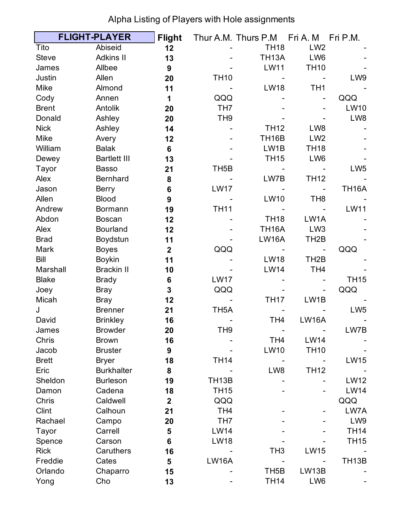|              | <b>FLIGHT-PLAYER</b> | <b>Flight</b>    |                    | Thur A.M. Thurs P.M | Fri A. M          | Fri P.M.           |
|--------------|----------------------|------------------|--------------------|---------------------|-------------------|--------------------|
| Tito         | Abiseid              | 12               |                    | <b>TH18</b>         | LW <sub>2</sub>   |                    |
| <b>Steve</b> | <b>Adkins II</b>     | 13               |                    | <b>TH13A</b>        | LW <sub>6</sub>   |                    |
| James        | Allbee               | 9                |                    | <b>LW11</b>         | <b>TH10</b>       |                    |
| Justin       | Allen                | 20               | <b>TH10</b>        |                     |                   | LW9                |
| Mike         | Almond               | 11               |                    | <b>LW18</b>         | TH <sub>1</sub>   |                    |
| Cody         | Annen                | 1                | QQQ                |                     |                   | QQQ                |
| <b>Brent</b> | Antolik              | 20               | TH <sub>7</sub>    |                     |                   | <b>LW10</b>        |
| Donald       | Ashley               | 20               | TH <sub>9</sub>    |                     |                   | LW8                |
| <b>Nick</b>  | Ashley               | 14               |                    | <b>TH12</b>         | LW8               |                    |
| <b>Mike</b>  | Avery                | 12               |                    | TH <sub>16</sub> B  | LW <sub>2</sub>   |                    |
| William      | <b>Balak</b>         | $6\phantom{1}$   |                    | LW1B                | <b>TH18</b>       |                    |
| Dewey        | <b>Bartlett III</b>  | 13               |                    | <b>TH15</b>         | LW6               |                    |
| Tayor        | <b>Basso</b>         | 21               | TH <sub>5</sub> B  |                     |                   | LW <sub>5</sub>    |
| Alex         | <b>Bernhard</b>      | 8                |                    | LW7B                | <b>TH12</b>       |                    |
| Jason        | <b>Berry</b>         | $6\phantom{1}6$  | <b>LW17</b>        |                     |                   | <b>TH16A</b>       |
| Allen        | <b>Blood</b>         | 9                |                    | <b>LW10</b>         | TH <sub>8</sub>   |                    |
| Andrew       | <b>Bormann</b>       | 19               | <b>TH11</b>        |                     |                   | <b>LW11</b>        |
| Abdon        | <b>Boscan</b>        | 12               |                    | <b>TH18</b>         | LW1A              |                    |
| Alex         | <b>Bourland</b>      | 12               |                    | <b>TH16A</b>        | LW <sub>3</sub>   |                    |
| <b>Brad</b>  | Boydstun             | 11               |                    | <b>LW16A</b>        | TH <sub>2</sub> B |                    |
| Mark         | <b>Boyes</b>         | $\mathbf{2}$     | QQQ                |                     |                   | QQQ                |
| Bill         | <b>Boykin</b>        | 11               |                    | <b>LW18</b>         | TH <sub>2</sub> B |                    |
| Marshall     | <b>Brackin II</b>    | 10               |                    | <b>LW14</b>         | TH <sub>4</sub>   |                    |
| <b>Blake</b> | <b>Brady</b>         | 6                | <b>LW17</b>        |                     |                   | <b>TH15</b>        |
| Joey         | <b>Bray</b>          | 3                | QQQ                |                     |                   | QQQ                |
| Micah        | <b>Bray</b>          | 12               |                    | <b>TH17</b>         | LW1B              |                    |
| J            | <b>Brenner</b>       | 21               | TH <sub>5</sub> A  |                     |                   | LW <sub>5</sub>    |
| David        | <b>Brinkley</b>      | 16               |                    | TH <sub>4</sub>     | <b>LW16A</b>      |                    |
| James        | <b>Browder</b>       | 20               | TH <sub>9</sub>    |                     |                   | LW7B               |
| Chris        | <b>Brown</b>         | 16               |                    | TH <sub>4</sub>     | <b>LW14</b>       |                    |
| Jacob        | <b>Bruster</b>       | $\boldsymbol{9}$ |                    | <b>LW10</b>         | <b>TH10</b>       |                    |
| <b>Brett</b> | <b>Bryer</b>         | 18               | <b>TH14</b>        |                     |                   | <b>LW15</b>        |
| Eric         | <b>Burkhalter</b>    | 8                |                    | LW8                 | <b>TH12</b>       |                    |
| Sheldon      | <b>Burleson</b>      | 19               | TH <sub>13</sub> B |                     |                   | <b>LW12</b>        |
| Damon        | Cadena               | 18               | <b>TH15</b>        |                     |                   | <b>LW14</b>        |
| Chris        | Caldwell             | $\mathbf{2}$     | QQQ                |                     |                   | QQQ                |
| Clint        | Calhoun              | 21               | TH <sub>4</sub>    |                     |                   | LW7A               |
| Rachael      | Campo                | 20               | TH <sub>7</sub>    |                     |                   | LW9                |
| Tayor        | Carrell              | 5                | <b>LW14</b>        |                     |                   | <b>TH14</b>        |
| Spence       | Carson               | $6\phantom{1}$   | <b>LW18</b>        |                     |                   | <b>TH15</b>        |
| <b>Rick</b>  | Caruthers            | 16               |                    | TH <sub>3</sub>     | <b>LW15</b>       |                    |
| Freddie      | Cates                | 5                | <b>LW16A</b>       |                     |                   | TH <sub>13</sub> B |
| Orlando      | Chaparro             | 15               |                    | TH <sub>5</sub> B   | LW13B             |                    |
| Yong         | Cho                  | 13               |                    | <b>TH14</b>         | LW6               |                    |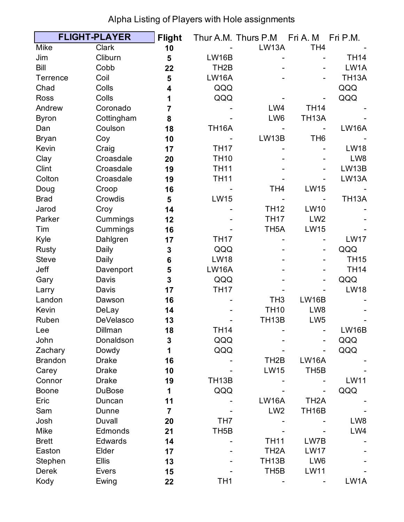|                 | <b>FLIGHT-PLAYER</b> | <b>Flight</b>  |                    | Thur A.M. Thurs P.M | Fri A. M          | Fri P.M.     |
|-----------------|----------------------|----------------|--------------------|---------------------|-------------------|--------------|
| <b>Mike</b>     | Clark                | 10             |                    | <b>LW13A</b>        | TH <sub>4</sub>   |              |
| Jim             | Cliburn              | 5              | <b>LW16B</b>       |                     |                   | <b>TH14</b>  |
| Bill            | Cobb                 | 22             | TH <sub>2</sub> B  |                     |                   | LW1A         |
| <b>Terrence</b> | Coil                 | 5              | <b>LW16A</b>       |                     |                   | <b>TH13A</b> |
| Chad            | Colls                | 4              | QQQ                |                     |                   | QQQ          |
| <b>Ross</b>     | Colls                | 1              | QQQ                |                     |                   | QQQ          |
| Andrew          | Coronado             | 7              |                    | LW4                 | <b>TH14</b>       |              |
| <b>Byron</b>    | Cottingham           | 8              |                    | LW6                 | <b>TH13A</b>      |              |
| Dan             | Coulson              | 18             | <b>TH16A</b>       |                     |                   | <b>LW16A</b> |
| <b>Bryan</b>    | Coy                  | 10             |                    | LW13B               | TH <sub>6</sub>   |              |
| Kevin           | Craig                | 17             | <b>TH17</b>        |                     |                   | <b>LW18</b>  |
| Clay            | Croasdale            | 20             | <b>TH10</b>        |                     |                   | LW8          |
| Clint           | Croasdale            | 19             | <b>TH11</b>        |                     |                   | LW13B        |
| Colton          | Croasdale            | 19             | <b>TH11</b>        |                     |                   | LW13A        |
| Doug            | Croop                | 16             |                    | TH <sub>4</sub>     | <b>LW15</b>       |              |
| <b>Brad</b>     | Crowdis              | 5              | <b>LW15</b>        |                     |                   | <b>TH13A</b> |
| Jarod           | Croy                 | 14             |                    | <b>TH12</b>         | <b>LW10</b>       |              |
| Parker          | Cummings             | 12             |                    | <b>TH17</b>         | LW <sub>2</sub>   |              |
| Tim             | Cummings             | 16             |                    | TH <sub>5</sub> A   | <b>LW15</b>       |              |
| Kyle            | Dahlgren             | 17             | <b>TH17</b>        |                     |                   | <b>LW17</b>  |
| <b>Rusty</b>    | Daily                | 3              | QQQ                |                     |                   | QQQ          |
| <b>Steve</b>    | Daily                | 6              | <b>LW18</b>        |                     |                   | <b>TH15</b>  |
| Jeff            | Davenport            | 5              | <b>LW16A</b>       |                     |                   | <b>TH14</b>  |
| Gary            | Davis                | 3              | QQQ                |                     |                   | QQQ          |
| Larry           | Davis                | 17             | <b>TH17</b>        |                     |                   | <b>LW18</b>  |
| Landon          | Dawson               | 16             |                    | TH <sub>3</sub>     | <b>LW16B</b>      |              |
| Kevin           | DeLay                | 14             |                    | <b>TH10</b>         | LW8               |              |
| Ruben           | <b>DeVelasco</b>     | 13             |                    | TH <sub>13</sub> B  | LW <sub>5</sub>   |              |
| Lee             | Dillman              | 18             | TH14               |                     |                   | LW16B        |
| John            | Donaldson            | 3              | QQQ                |                     |                   | QQQ          |
| Zachary         | Dowdy                | 1              | QQQ                |                     |                   | QQQ          |
| <b>Brandon</b>  | <b>Drake</b>         | 16             |                    | TH <sub>2</sub> B   | <b>LW16A</b>      |              |
| Carey           | <b>Drake</b>         | 10             |                    | <b>LW15</b>         | TH <sub>5</sub> B |              |
| Connor          | <b>Drake</b>         | 19             | TH <sub>13</sub> B |                     |                   | <b>LW11</b>  |
| <b>Boone</b>    | <b>DuBose</b>        | 1              | QQQ                |                     |                   | QQQ          |
| Eric            | Duncan               | 11             |                    | <b>LW16A</b>        | TH <sub>2</sub> A |              |
| Sam             | Dunne                | $\overline{7}$ |                    | LW <sub>2</sub>     | <b>TH16B</b>      |              |
| Josh            | Duvall               | 20             | TH <sub>7</sub>    |                     |                   | LW8          |
| <b>Mike</b>     | Edmonds              | 21             | TH <sub>5</sub> B  |                     |                   | LW4          |
| <b>Brett</b>    | Edwards              | 14             |                    | <b>TH11</b>         | LW7B              |              |
| Easton          | Elder                | 17             |                    | TH <sub>2</sub> A   | <b>LW17</b>       |              |
| Stephen         | <b>Ellis</b>         | 13             |                    | TH <sub>13</sub> B  | LW6               |              |
| <b>Derek</b>    | <b>Evers</b>         | 15             |                    | TH <sub>5</sub> B   | <b>LW11</b>       |              |
| Kody            | Ewing                | 22             | TH <sub>1</sub>    |                     |                   | LW1A         |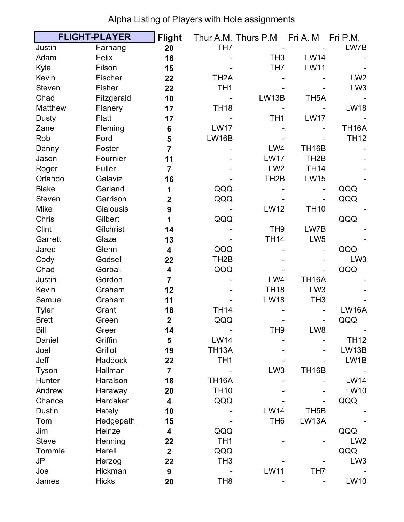|               | <b>FLIGHT-PLAYER</b> | <b>Flight</b>           |                   | Thur A.M. Thurs P.M Fri A.M |                   | Fri P.M.        |
|---------------|----------------------|-------------------------|-------------------|-----------------------------|-------------------|-----------------|
| Justin        | Farhang              | 20                      | TH <sub>7</sub>   |                             |                   | LW7B            |
| Adam          | Felix                | 16                      |                   | TH <sub>3</sub>             | <b>LW14</b>       |                 |
| Kyle          | Filson               | 15                      |                   | TH <sub>7</sub>             | <b>LW11</b>       |                 |
| Kevin         | Fischer              | 22                      | TH <sub>2</sub> A |                             |                   | LW <sub>2</sub> |
| <b>Steven</b> | Fisher               | 22                      | TH <sub>1</sub>   |                             |                   | LW <sub>3</sub> |
| Chad          | Fitzgerald           | 10                      |                   | LW13B                       | TH <sub>5</sub> A |                 |
| Matthew       | Flanery              | 17                      | <b>TH18</b>       |                             |                   | <b>LW18</b>     |
| Dusty         | Flatt                | 17                      |                   | TH <sub>1</sub>             | <b>LW17</b>       |                 |
| Zane          | Fleming              | 6                       | <b>LW17</b>       |                             |                   | <b>TH16A</b>    |
| Rob           | Ford                 | 5                       | <b>LW16B</b>      |                             |                   | <b>TH12</b>     |
| Danny         | Foster               | $\overline{7}$          |                   | LW4                         | <b>TH16B</b>      |                 |
| Jason         | Fournier             | 11                      |                   | <b>LW17</b>                 | TH <sub>2</sub> B |                 |
| Roger         | Fuller               | $\overline{7}$          |                   | LW <sub>2</sub>             | <b>TH14</b>       |                 |
| Orlando       | Galaviz              | 16                      |                   | TH <sub>2</sub> B           | <b>LW15</b>       |                 |
| <b>Blake</b>  | Garland              | 1                       | QQQ               |                             |                   | QQQ             |
| <b>Steven</b> | Garrison             | $\mathbf{2}$            | QQQ               |                             |                   | QQQ             |
| <b>Mike</b>   | Gialousis            | 9                       |                   | <b>LW12</b>                 | <b>TH10</b>       |                 |
| Chris         | Gilbert              | 1                       | QQQ               |                             |                   | QQQ             |
| Clint         | Gilchrist            | 14                      |                   | TH <sub>9</sub>             | LW7B              |                 |
| Garrett       | Glaze                | 13                      |                   | <b>TH14</b>                 | LW <sub>5</sub>   |                 |
| Jared         | Glenn                | 4                       | QQQ               |                             |                   | QQQ             |
| Cody          | Godsell              | 22                      | TH <sub>2</sub> B |                             |                   | LW <sub>3</sub> |
| Chad          | Gorball              | 4                       | QQQ               |                             |                   | QQQ             |
| Justin        | Gordon               | $\overline{7}$          |                   | LW4                         | <b>TH16A</b>      |                 |
| Kevin         | Graham               | 12                      |                   | <b>TH18</b>                 | LW <sub>3</sub>   |                 |
| Samuel        | Graham               | 11                      |                   | <b>LW18</b>                 | TH <sub>3</sub>   |                 |
| <b>Tyler</b>  | Grant                | 18                      | <b>TH14</b>       |                             |                   | <b>LW16A</b>    |
| <b>Brett</b>  | Green                | $\overline{\mathbf{2}}$ | QQQ               |                             |                   | QQQ             |
| Bill          | Greer                | 14                      |                   | TH9                         | LW8               |                 |
| Daniel        | Griffin              | 5                       | <b>LW14</b>       |                             |                   | <b>TH12</b>     |
| Joel          | Grillot              | 19                      | <b>TH13A</b>      |                             |                   | LW13B           |
| Jeff          | <b>Haddock</b>       | 22                      | TH <sub>1</sub>   |                             |                   | LW1B            |
| Tyson         | Hallman              | $\overline{7}$          |                   | LW <sub>3</sub>             | <b>TH16B</b>      |                 |
| Hunter        | Haralson             | 18                      | <b>TH16A</b>      |                             |                   | <b>LW14</b>     |
| Andrew        | Haraway              | 20                      | <b>TH10</b>       |                             |                   | <b>LW10</b>     |
| Chance        | Hardaker             | 4                       | QQQ               |                             |                   | QQQ             |
| <b>Dustin</b> | Hately               | 10                      |                   | <b>LW14</b>                 | TH <sub>5</sub> B |                 |
| Tom           | Hedgepath            | 15                      |                   | TH <sub>6</sub>             | LW13A             |                 |
| Jim           | Heinze               | 4                       | QQQ               |                             |                   | QQQ             |
| <b>Steve</b>  | Henning              | 22                      | TH <sub>1</sub>   |                             |                   | LW <sub>2</sub> |
| Tommie        | Herell               | $\overline{\mathbf{2}}$ | QQQ               |                             |                   | QQQ             |
| <b>JP</b>     | Herzog               | 22                      | TH <sub>3</sub>   |                             |                   | LW <sub>3</sub> |
| Joe           | Hickman              | 9                       |                   | <b>LW11</b>                 | TH <sub>7</sub>   |                 |
| James         | <b>Hicks</b>         | 20                      | TH <sub>8</sub>   |                             |                   | <b>LW10</b>     |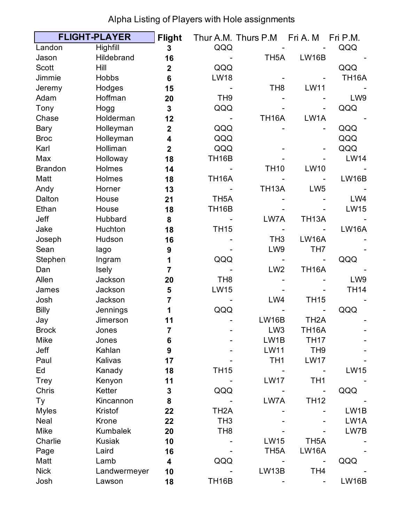|                | <b>FLIGHT-PLAYER</b> | <b>Flight</b>           |                    | Thur A.M. Thurs P.M | Fri A. M          | Fri P.M.     |
|----------------|----------------------|-------------------------|--------------------|---------------------|-------------------|--------------|
| Landon         | Highfill             | 3                       | QQQ                |                     |                   | QQQ          |
| Jason          | Hildebrand           | 16                      |                    | TH <sub>5</sub> A   | <b>LW16B</b>      |              |
| <b>Scott</b>   | Hill                 | $\mathbf{2}$            | QQQ                |                     |                   | QQQ          |
| Jimmie         | <b>Hobbs</b>         | $6\phantom{1}$          | <b>LW18</b>        |                     |                   | <b>TH16A</b> |
| Jeremy         | Hodges               | 15                      |                    | TH <sub>8</sub>     | <b>LW11</b>       |              |
| Adam           | Hoffman              | 20                      | TH <sub>9</sub>    |                     |                   | LW9          |
| Tony           | Hogg                 | $\mathbf{3}$            | QQQ                |                     |                   | QQQ          |
| Chase          | Holderman            | 12                      |                    | <b>TH16A</b>        | LW1A              |              |
| Bary           | Holleyman            | $\mathbf{2}$            | QQQ                |                     |                   | QQQ          |
| <b>Broc</b>    | Holleyman            | 4                       | QQQ                |                     |                   | QQQ          |
| Karl           | Holliman             | $\overline{\mathbf{2}}$ | QQQ                |                     |                   | QQQ          |
| Max            | Holloway             | 18                      | <b>TH16B</b>       |                     |                   | <b>LW14</b>  |
| <b>Brandon</b> | Holmes               | 14                      |                    | <b>TH10</b>         | <b>LW10</b>       |              |
| Matt           | Holmes               | 18                      | <b>TH16A</b>       |                     |                   | <b>LW16B</b> |
| Andy           | Horner               | 13                      |                    | <b>TH13A</b>        | LW <sub>5</sub>   |              |
| Dalton         | House                | 21                      | TH <sub>5</sub> A  |                     |                   | LW4          |
| Ethan          | House                | 18                      | TH <sub>16</sub> B |                     |                   | <b>LW15</b>  |
| Jeff           | Hubbard              | 8                       |                    | LW7A                | <b>TH13A</b>      |              |
| Jake           | Huchton              | 18                      | <b>TH15</b>        |                     |                   | <b>LW16A</b> |
| Joseph         | Hudson               | 16                      |                    | TH <sub>3</sub>     | <b>LW16A</b>      |              |
| Sean           | lago                 | 9                       |                    | LW9                 | TH <sub>7</sub>   |              |
| Stephen        | Ingram               | 1                       | QQQ                |                     |                   | QQQ          |
| Dan            | Isely                | $\overline{7}$          |                    | LW <sub>2</sub>     | <b>TH16A</b>      |              |
| Allen          | Jackson              | 20                      | TH <sub>8</sub>    |                     |                   | LW9          |
| James          | Jackson              | 5                       | <b>LW15</b>        |                     |                   | <b>TH14</b>  |
| Josh           | Jackson              | $\overline{7}$          |                    | LW4                 | <b>TH15</b>       |              |
| <b>Billy</b>   | Jennings             | 1                       | QQQ                |                     |                   | QQQ          |
| Jay            | Jimerson             | 11                      |                    | <b>LW16B</b>        | TH <sub>2</sub> A |              |
| <b>Brock</b>   | Jones                | 7                       |                    | LW <sub>3</sub>     | TH16A             |              |
| <b>Mike</b>    | Jones                | 6                       |                    | LW1B                | <b>TH17</b>       |              |
| Jeff           | Kahlan               | $\boldsymbol{9}$        |                    | <b>LW11</b>         | TH <sub>9</sub>   |              |
| Paul           | Kalivas              | 17                      |                    | TH <sub>1</sub>     | <b>LW17</b>       |              |
| Ed             | Kanady               | 18                      | <b>TH15</b>        |                     |                   | <b>LW15</b>  |
| <b>Trey</b>    | Kenyon               | 11                      |                    | <b>LW17</b>         | TH <sub>1</sub>   |              |
| Chris          | Ketter               | $\mathbf 3$             | QQQ                |                     |                   | QQQ          |
| Ty             | Kincannon            | 8                       |                    | LW7A                | <b>TH12</b>       |              |
| <b>Myles</b>   | Kristof              | 22                      | TH <sub>2</sub> A  |                     |                   | LW1B         |
| Neal           | Krone                | 22                      | TH <sub>3</sub>    |                     |                   | LW1A         |
| Mike           | <b>Kumbalek</b>      | 20                      | TH <sub>8</sub>    |                     |                   | LW7B         |
| Charlie        | <b>Kusiak</b>        | 10                      |                    | <b>LW15</b>         | TH <sub>5</sub> A |              |
| Page           | Laird                | 16                      |                    | TH <sub>5</sub> A   | <b>LW16A</b>      |              |
| Matt           | Lamb                 | 4                       | QQQ                |                     |                   | QQQ          |
| <b>Nick</b>    | Landwermeyer         | 10                      |                    | LW13B               | TH <sub>4</sub>   |              |
| Josh           | Lawson               | 18                      | TH <sub>16</sub> B |                     |                   | LW16B        |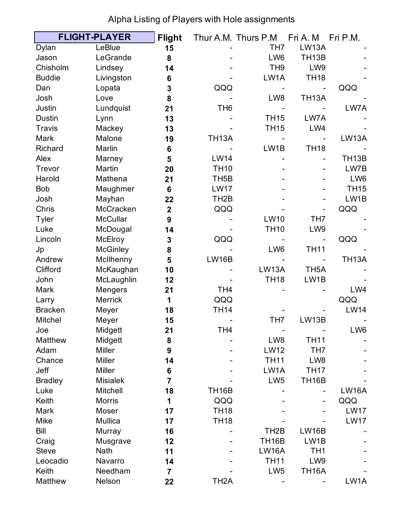|                | <b>FLIGHT-PLAYER</b> | <b>Flight</b>           |                    | Thur A.M. Thurs P.M | Fri A. M           | Fri P.M.           |
|----------------|----------------------|-------------------------|--------------------|---------------------|--------------------|--------------------|
| Dylan          | LeBlue               | 15                      |                    | TH <sub>7</sub>     | <b>LW13A</b>       |                    |
| Jason          | LeGrande             | 8                       |                    | LW6                 | TH <sub>13</sub> B |                    |
| Chisholm       | Lindsey              | 14                      |                    | TH <sub>9</sub>     | LW9                |                    |
| <b>Buddie</b>  | Livingston           | 6                       |                    | LW1A                | <b>TH18</b>        |                    |
| Dan            | Lopata               | 3                       | QQQ                |                     |                    | QQQ                |
| Josh           | Love                 | 8                       |                    | LW8                 | <b>TH13A</b>       |                    |
| Justin         | Lundquist            | 21                      | TH <sub>6</sub>    |                     |                    | LW7A               |
| <b>Dustin</b>  | Lynn                 | 13                      |                    | <b>TH15</b>         | LW7A               |                    |
| <b>Travis</b>  | Mackey               | 13                      |                    | <b>TH15</b>         | LW4                |                    |
| Mark           | Malone               | 19                      | <b>TH13A</b>       |                     |                    | <b>LW13A</b>       |
| Richard        | Marlin               | $6\phantom{1}6$         |                    | LW1B                | <b>TH18</b>        |                    |
| Alex           | Marney               | 5                       | <b>LW14</b>        |                     |                    | TH <sub>13</sub> B |
| Trevor         | Martin               | 20                      | <b>TH10</b>        |                     |                    | LW7B               |
| Harold         | Mathena              | 21                      | TH <sub>5</sub> B  |                     |                    | LW6                |
| <b>Bob</b>     | Maughmer             | $6\phantom{1}6$         | <b>LW17</b>        |                     |                    | <b>TH15</b>        |
| Josh           | Mayhan               | 22                      | TH <sub>2</sub> B  |                     |                    | LW1B               |
| Chris          | McCracken            | $\overline{\mathbf{2}}$ | QQQ                |                     |                    | QQQ                |
| <b>Tyler</b>   | <b>McCullar</b>      | 9                       |                    | <b>LW10</b>         | TH <sub>7</sub>    |                    |
| Luke           | McDougal             | 14                      |                    | <b>TH10</b>         | LW9                |                    |
| Lincoln        | McElroy              | $\mathbf{3}$            | QQQ                |                     |                    | QQQ                |
| Jp             | <b>McGinley</b>      | 8                       |                    | LW6                 | <b>TH11</b>        |                    |
| Andrew         | McIlhenny            | 5                       | <b>LW16B</b>       |                     |                    | <b>TH13A</b>       |
| Clifford       | McKaughan            | 10                      |                    | <b>LW13A</b>        | TH <sub>5</sub> A  |                    |
| John           | McLaughlin           | 12                      |                    | <b>TH18</b>         | LW1B               |                    |
| Mark           | Mengers              | 21                      | TH <sub>4</sub>    |                     |                    | LW4                |
| Larry          | <b>Merrick</b>       | 1                       | QQQ                |                     |                    | QQQ                |
| <b>Bracken</b> | Meyer                | 18                      | <b>TH14</b>        |                     |                    | <b>LW14</b>        |
| Mitchel        | Meyer                | 15                      |                    | TH <sub>7</sub>     | LW13B              |                    |
| Joe            | Midgett              | 21                      | TH <sub>4</sub>    |                     |                    | LW6                |
| Matthew        | Midgett              | 8                       |                    | LW8                 | <b>TH11</b>        |                    |
| Adam           | <b>Miller</b>        | 9                       |                    | <b>LW12</b>         | TH <sub>7</sub>    |                    |
| Chance         | <b>Miller</b>        | 14                      |                    | <b>TH11</b>         | LW8                |                    |
| Jeff           | <b>Miller</b>        | 6                       |                    | LW1A                | <b>TH17</b>        |                    |
| <b>Bradley</b> | <b>Misialek</b>      | $\overline{7}$          |                    | LW <sub>5</sub>     | TH <sub>16</sub> B |                    |
| Luke           | Mitchell             | 18                      | TH <sub>16</sub> B |                     |                    | <b>LW16A</b>       |
| Keith          | <b>Morris</b>        | 1                       | QQQ                |                     |                    | QQQ                |
| Mark           | Moser                | 17                      | <b>TH18</b>        |                     |                    | <b>LW17</b>        |
| <b>Mike</b>    | Mullica              | 17                      | <b>TH18</b>        |                     |                    | <b>LW17</b>        |
| <b>Bill</b>    | Murray               | 16                      |                    | TH <sub>2</sub> B   | <b>LW16B</b>       |                    |
| Craig          | Musgrave             | 12                      |                    | TH <sub>16</sub> B  | LW1B               |                    |
| <b>Steve</b>   | <b>Nath</b>          | 11                      |                    | <b>LW16A</b>        | TH <sub>1</sub>    |                    |
| Leocadio       | Navarro              | 14                      |                    | <b>TH11</b>         | LW9                |                    |
| Keith          | Needham              | $\overline{7}$          |                    | LW <sub>5</sub>     | <b>TH16A</b>       |                    |
| Matthew        | Nelson               | 22                      | TH <sub>2</sub> A  |                     |                    | LW1A               |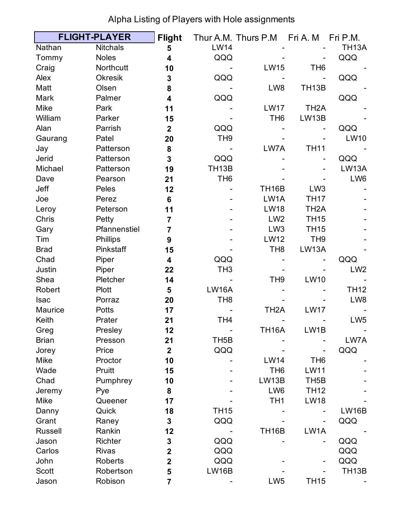|                | <b>FLIGHT-PLAYER</b> | <b>Flight</b>           |                    | Thur A.M. Thurs P.M Fri A.M |                   | Fri P.M.           |
|----------------|----------------------|-------------------------|--------------------|-----------------------------|-------------------|--------------------|
| Nathan         | <b>Nitchals</b>      | 5                       | <b>LW14</b>        |                             |                   | <b>TH13A</b>       |
| Tommy          | <b>Noles</b>         | 4                       | QQQ                |                             |                   | QQQ                |
| Craig          | Northcutt            | 10                      |                    | <b>LW15</b>                 | TH <sub>6</sub>   |                    |
| Alex           | <b>Okresik</b>       | 3                       | QQQ                |                             |                   | QQQ                |
| Matt           | Olsen                | 8                       |                    | LW8                         | <b>TH13B</b>      |                    |
| Mark           | Palmer               | 4                       | QQQ                |                             |                   | QQQ                |
| <b>Mike</b>    | Park                 | 11                      |                    | <b>LW17</b>                 | TH <sub>2</sub> A |                    |
| William        | Parker               | 15                      |                    | TH <sub>6</sub>             | LW13B             |                    |
| Alan           | Parrish              | $\overline{2}$          | QQQ                |                             |                   | QQQ                |
| Gaurang        | Patel                | 20                      | TH <sub>9</sub>    |                             |                   | <b>LW10</b>        |
| Jay            | Patterson            | 8                       |                    | LW7A                        | <b>TH11</b>       |                    |
| Jerid          | Patterson            | 3                       | QQQ                |                             |                   | QQQ                |
| Michael        | Patterson            | 19                      | TH <sub>13</sub> B |                             |                   | LW13A              |
| Dave           | Pearson              | 21                      | TH <sub>6</sub>    |                             |                   | LW6                |
| Jeff           | Peles                | 12                      |                    | <b>TH16B</b>                | LW <sub>3</sub>   |                    |
| Joe            | Perez                | $6\phantom{1}$          |                    | LW1A                        | <b>TH17</b>       |                    |
| Leroy          | Peterson             | 11                      |                    | <b>LW18</b>                 | TH <sub>2</sub> A |                    |
| Chris          | Petty                | 7                       |                    | LW <sub>2</sub>             | <b>TH15</b>       |                    |
| Gary           | Pfannenstiel         | $\overline{7}$          |                    | LW <sub>3</sub>             | <b>TH15</b>       |                    |
| Tim            | Phillips             | 9                       |                    | <b>LW12</b>                 | TH <sub>9</sub>   |                    |
| <b>Brad</b>    | Pinkstaff            | 15                      |                    | TH <sub>8</sub>             | LW13A             |                    |
| Chad           | Piper                | 4                       | QQQ                |                             |                   | QQQ                |
| Justin         | Piper                | 22                      | TH <sub>3</sub>    |                             |                   | LW <sub>2</sub>    |
| Shea           | Pletcher             | 14                      |                    | TH <sub>9</sub>             | <b>LW10</b>       |                    |
| Robert         | <b>Plott</b>         | 5                       | <b>LW16A</b>       |                             |                   | <b>TH12</b>        |
| <b>Isac</b>    | Porraz               | 20                      | TH <sub>8</sub>    |                             |                   | LW8                |
| Maurice        | <b>Potts</b>         | 17                      |                    | TH <sub>2</sub> A           | <b>LW17</b>       |                    |
| Keith          | Prater               | 21                      | TH <sub>4</sub>    |                             |                   | LW <sub>5</sub>    |
| Greg           | Presley              | 12                      |                    | <b>TH16A</b>                | LW1B              |                    |
| <b>Brian</b>   | Presson              | 21                      | TH <sub>5</sub> B  |                             |                   | LW7A               |
| Jorey          | Price                | $\overline{2}$          | QQQ                |                             |                   | QQQ                |
| Mike           | Proctor              | 10                      |                    | <b>LW14</b>                 | TH <sub>6</sub>   |                    |
| Wade           | Pruitt               | 15                      |                    | TH <sub>6</sub>             | <b>LW11</b>       |                    |
| Chad           | Pumphrey             | 10                      |                    | LW13B                       | TH <sub>5</sub> B |                    |
| Jeremy         | Pye                  | 8                       |                    | LW6                         | <b>TH12</b>       |                    |
| Mike           | Queener              | 17                      |                    | TH <sub>1</sub>             | <b>LW18</b>       |                    |
| Danny          | Quick                | 18                      | <b>TH15</b>        |                             |                   | <b>LW16B</b>       |
| Grant          | Raney                | 3                       | QQQ                |                             |                   | QQQ                |
| <b>Russell</b> | Rankin               | 12                      |                    | <b>TH16B</b>                | LW1A              |                    |
| Jason          | <b>Richter</b>       | 3                       | QQQ                |                             |                   | QQQ                |
| Carlos         | <b>Rivas</b>         | $\mathbf 2$             | QQQ                |                             |                   | QQQ                |
| John           | <b>Roberts</b>       | $\overline{\mathbf{2}}$ | QQQ                |                             |                   | QQQ                |
| <b>Scott</b>   | Robertson            | 5                       | <b>LW16B</b>       |                             |                   | TH <sub>13</sub> B |
| Jason          | Robison              | $\overline{\mathbf{7}}$ |                    | LW <sub>5</sub>             | <b>TH15</b>       |                    |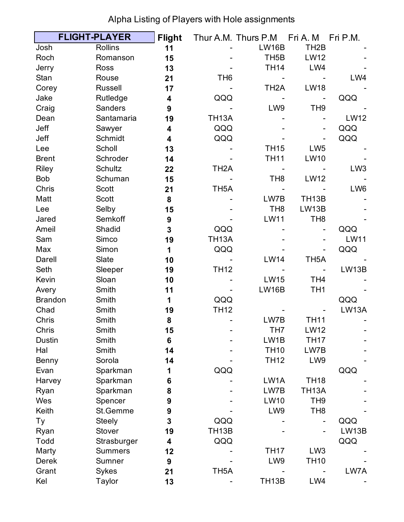|                | <b>FLIGHT-PLAYER</b> | <b>Flight</b>    |                    | Thur A.M. Thurs P.M | Fri A. M           | Fri P.M.        |
|----------------|----------------------|------------------|--------------------|---------------------|--------------------|-----------------|
| Josh           | <b>Rollins</b>       | 11               |                    | <b>LW16B</b>        | TH <sub>2</sub> B  |                 |
| Roch           | Romanson             | 15               |                    | TH <sub>5</sub> B   | <b>LW12</b>        |                 |
| Jerry          | <b>Ross</b>          | 13               |                    | <b>TH14</b>         | LW4                |                 |
| Stan           | Rouse                | 21               | TH <sub>6</sub>    |                     |                    | LW4             |
| Corey          | <b>Russell</b>       | 17               |                    | TH <sub>2</sub> A   | <b>LW18</b>        |                 |
| Jake           | Rutledge             | 4                | QQQ                |                     |                    | QQQ             |
| Craig          | <b>Sanders</b>       | 9                |                    | LW9                 | TH <sub>9</sub>    |                 |
| Dean           | Santamaria           | 19               | <b>TH13A</b>       |                     |                    | <b>LW12</b>     |
| Jeff           | Sawyer               | 4                | QQQ                |                     | Ξ.                 | QQQ             |
| Jeff           | Schmidt              | 4                | QQQ                |                     |                    | QQQ             |
| Lee            | Scholl               | 13               |                    | <b>TH15</b>         | LW <sub>5</sub>    |                 |
| <b>Brent</b>   | Schroder             | 14               |                    | <b>TH11</b>         | <b>LW10</b>        |                 |
| <b>Riley</b>   | Schultz              | 22               | TH <sub>2</sub> A  |                     |                    | LW <sub>3</sub> |
| <b>Bob</b>     | Schuman              | 15               |                    | TH <sub>8</sub>     | <b>LW12</b>        |                 |
| Chris          | Scott                | 21               | TH <sub>5</sub> A  |                     |                    | LW6             |
| Matt           | Scott                | 8                |                    | LW7B                | TH <sub>13</sub> B |                 |
| Lee            | Selby                | 15               |                    | TH <sub>8</sub>     | LW13B              |                 |
| Jared          | Semkoff              | $\boldsymbol{9}$ |                    | <b>LW11</b>         | TH <sub>8</sub>    |                 |
| Ameil          | Shadid               | 3                | QQQ                |                     |                    | QQQ             |
| Sam            | Simco                | 19               | <b>TH13A</b>       |                     |                    | <b>LW11</b>     |
| Max            | Simon                | 1                | QQQ                |                     |                    | QQQ             |
| Darell         | Slate                | 10               |                    | <b>LW14</b>         | TH <sub>5</sub> A  |                 |
| Seth           | Sleeper              | 19               | <b>TH12</b>        |                     |                    | LW13B           |
| Kevin          | Sloan                | 10               |                    | <b>LW15</b>         | TH <sub>4</sub>    |                 |
| Avery          | Smith                | 11               |                    | <b>LW16B</b>        | TH <sub>1</sub>    |                 |
| <b>Brandon</b> | Smith                | 1                | QQQ                |                     |                    | QQQ             |
| Chad           | Smith                | 19               | <b>TH12</b>        |                     |                    | <b>LW13A</b>    |
| Chris          | Smith                | 8                |                    | LW7B                | <b>TH11</b>        |                 |
| Chris          | Smith                | 15               |                    | TH7                 | <b>LW12</b>        |                 |
| <b>Dustin</b>  | Smith                | 6                |                    | LW1B                | <b>TH17</b>        |                 |
| Hal            | Smith                | 14               |                    | <b>TH10</b>         | LW7B               |                 |
| Benny          | Sorola               | 14               |                    | <b>TH12</b>         | LW9                |                 |
| Evan           | Sparkman             | 1                | QQQ                |                     |                    | QQQ             |
| Harvey         | Sparkman             | 6                |                    | LW1A                | <b>TH18</b>        |                 |
| Ryan           | Sparkman             | 8                |                    | LW7B                | <b>TH13A</b>       |                 |
| Wes            | Spencer              | 9                |                    | <b>LW10</b>         | TH <sub>9</sub>    |                 |
| Keith          | St.Gemme             | 9                |                    | LW9                 | TH <sub>8</sub>    |                 |
| Ty             | <b>Steely</b>        | 3                | QQQ                |                     |                    | QQQ             |
| Ryan           | Stover               | 19               | TH <sub>13</sub> B |                     |                    | LW13B           |
| Todd           | Strasburger          | 4                | QQQ                |                     |                    | QQQ             |
| Marty          | <b>Summers</b>       | 12               |                    | <b>TH17</b>         | LW <sub>3</sub>    |                 |
| <b>Derek</b>   | Sumner               | $\boldsymbol{9}$ |                    | LW9                 | <b>TH10</b>        |                 |
| Grant          | Sykes                | 21               | TH <sub>5</sub> A  |                     |                    | LW7A            |
| Kel            | <b>Taylor</b>        | 13               |                    | TH <sub>13</sub> B  | LW4                |                 |